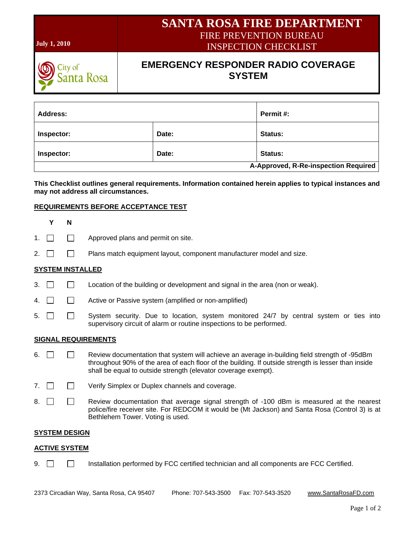| <b>July 1, 2010</b>              |                                                            |       | <b>SANTA ROSA FIRE DEPARTMENT</b><br><b>FIRE PREVENTION BUREAU</b><br><b>INSPECTION CHECKLIST</b> |
|----------------------------------|------------------------------------------------------------|-------|---------------------------------------------------------------------------------------------------|
| <sub>City of</sub><br>Santa Rosa | <b>EMERGENCY RESPONDER RADIO COVERAGE</b><br><b>SYSTEM</b> |       |                                                                                                   |
| Address:                         |                                                            |       | Permit #:                                                                                         |
| Inspector:                       |                                                            | Date: | Status:                                                                                           |
| Inspector:                       |                                                            | Date: | Status:                                                                                           |

**This Checklist outlines general requirements. Information contained herein applies to typical instances and may not address all circumstances.**

**A-Approved, R-Re-inspection Required**

## **REQUIREMENTS BEFORE ACCEPTANCE TEST**

| Υ                    | N                       |                                                                                                                                                                                                                                                                        |  |
|----------------------|-------------------------|------------------------------------------------------------------------------------------------------------------------------------------------------------------------------------------------------------------------------------------------------------------------|--|
| 1.                   |                         | Approved plans and permit on site.                                                                                                                                                                                                                                     |  |
| 2.                   |                         | Plans match equipment layout, component manufacturer model and size.                                                                                                                                                                                                   |  |
|                      | <b>SYSTEM INSTALLED</b> |                                                                                                                                                                                                                                                                        |  |
| 3.                   |                         | Location of the building or development and signal in the area (non or weak).                                                                                                                                                                                          |  |
| 4.                   |                         | Active or Passive system (amplified or non-amplified)                                                                                                                                                                                                                  |  |
| 5.                   |                         | System security. Due to location, system monitored 24/7 by central system or ties into<br>supervisory circuit of alarm or routine inspections to be performed.                                                                                                         |  |
|                      |                         | <b>SIGNAL REQUIREMENTS</b>                                                                                                                                                                                                                                             |  |
| 6.                   |                         | Review documentation that system will achieve an average in-building field strength of -95dBm<br>throughout 90% of the area of each floor of the building. If outside strength is lesser than inside<br>shall be equal to outside strength (elevator coverage exempt). |  |
| 7.                   |                         | Verify Simplex or Duplex channels and coverage.                                                                                                                                                                                                                        |  |
| 8.                   |                         | Review documentation that average signal strength of -100 dBm is measured at the nearest<br>police/fire receiver site. For REDCOM it would be (Mt Jackson) and Santa Rosa (Control 3) is at<br>Bethlehem Tower. Voting is used.                                        |  |
| <u>SYSTEM DESIGN</u> |                         |                                                                                                                                                                                                                                                                        |  |

## **ACTIVE SYSTEM**

9.  $\Box$  Installation performed by FCC certified technician and all components are FCC Certified.